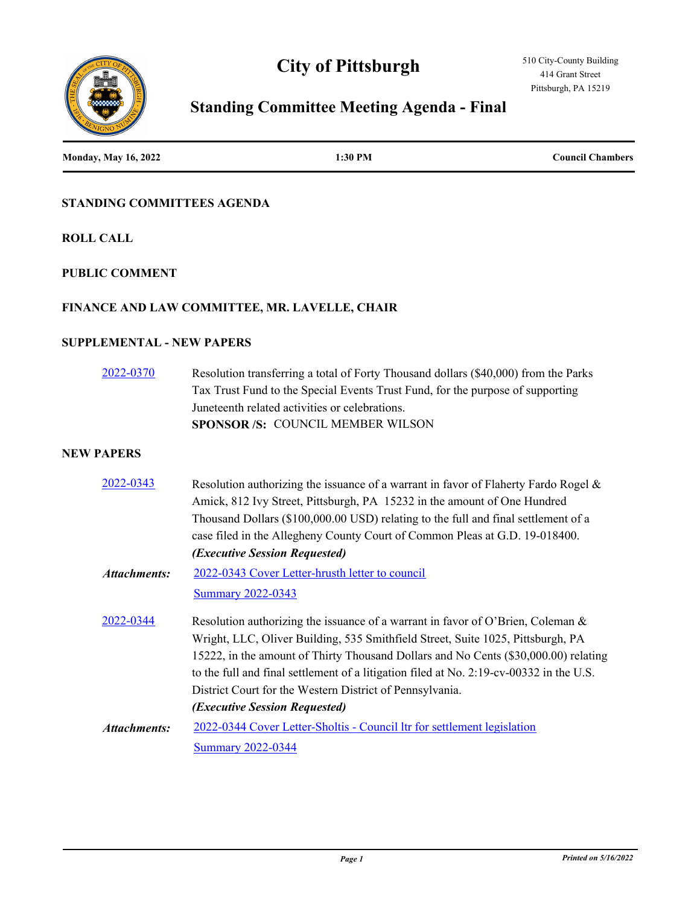# **City of Pittsburgh**



# **Standing Committee Meeting Agenda - Final**

| <b>Monday, May 16, 2022</b>      | 1:30 PM                                                                                                                                                                                                                                                                                                                                                                                                                                           | <b>Council Chambers</b> |
|----------------------------------|---------------------------------------------------------------------------------------------------------------------------------------------------------------------------------------------------------------------------------------------------------------------------------------------------------------------------------------------------------------------------------------------------------------------------------------------------|-------------------------|
| STANDING COMMITTEES AGENDA       |                                                                                                                                                                                                                                                                                                                                                                                                                                                   |                         |
| <b>ROLL CALL</b>                 |                                                                                                                                                                                                                                                                                                                                                                                                                                                   |                         |
| <b>PUBLIC COMMENT</b>            |                                                                                                                                                                                                                                                                                                                                                                                                                                                   |                         |
|                                  | FINANCE AND LAW COMMITTEE, MR. LAVELLE, CHAIR                                                                                                                                                                                                                                                                                                                                                                                                     |                         |
| <b>SUPPLEMENTAL - NEW PAPERS</b> |                                                                                                                                                                                                                                                                                                                                                                                                                                                   |                         |
| 2022-0370                        | Resolution transferring a total of Forty Thousand dollars (\$40,000) from the Parks<br>Tax Trust Fund to the Special Events Trust Fund, for the purpose of supporting<br>Juneteenth related activities or celebrations.<br>SPONSOR /S: COUNCIL MEMBER WILSON                                                                                                                                                                                      |                         |
| <b>NEW PAPERS</b>                |                                                                                                                                                                                                                                                                                                                                                                                                                                                   |                         |
| 2022-0343                        | Resolution authorizing the issuance of a warrant in favor of Flaherty Fardo Rogel &<br>Amick, 812 Ivy Street, Pittsburgh, PA 15232 in the amount of One Hundred<br>Thousand Dollars (\$100,000.00 USD) relating to the full and final settlement of a<br>case filed in the Allegheny County Court of Common Pleas at G.D. 19-018400.<br>(Executive Session Requested)                                                                             |                         |
| <b>Attachments:</b>              | 2022-0343 Cover Letter-hrusth letter to council<br><b>Summary 2022-0343</b>                                                                                                                                                                                                                                                                                                                                                                       |                         |
| 2022-0344                        | Resolution authorizing the issuance of a warrant in favor of O'Brien, Coleman &<br>Wright, LLC, Oliver Building, 535 Smithfield Street, Suite 1025, Pittsburgh, PA<br>15222, in the amount of Thirty Thousand Dollars and No Cents (\$30,000.00) relating<br>to the full and final settlement of a litigation filed at No. 2:19-cv-00332 in the U.S.<br>District Court for the Western District of Pennsylvania.<br>(Executive Session Requested) |                         |
| <b>Attachments:</b>              | 2022-0344 Cover Letter-Sholtis - Council ltr for settlement legislation                                                                                                                                                                                                                                                                                                                                                                           |                         |
|                                  | <b>Summary 2022-0344</b>                                                                                                                                                                                                                                                                                                                                                                                                                          |                         |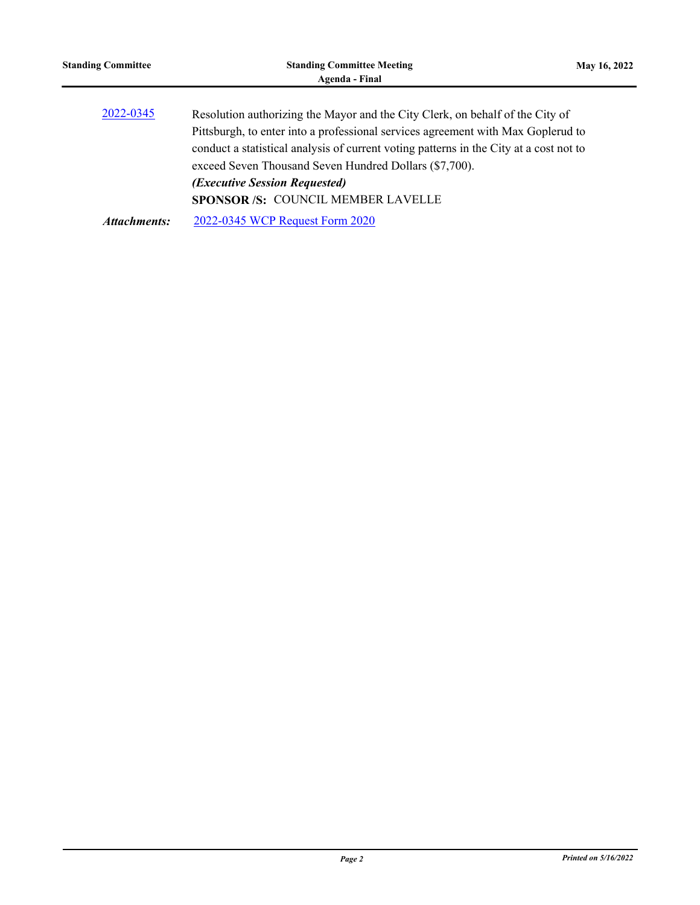| <b>Standing Committee</b> | <b>Standing Committee Meeting</b><br>Agenda - Final                                                                                                                                                                                                                                                                                                           | May 16, 2022 |
|---------------------------|---------------------------------------------------------------------------------------------------------------------------------------------------------------------------------------------------------------------------------------------------------------------------------------------------------------------------------------------------------------|--------------|
| 2022-0345                 | Resolution authorizing the Mayor and the City Clerk, on behalf of the City of<br>Pittsburgh, to enter into a professional services agreement with Max Goplerud to<br>conduct a statistical analysis of current voting patterns in the City at a cost not to<br>exceed Seven Thousand Seven Hundred Dollars (\$7,700).<br><i>(Executive Session Requested)</i> |              |
| Attachments:              | <b>SPONSOR/S: COUNCIL MEMBER LAVELLE</b><br>2022-0345 WCP Request Form 2020                                                                                                                                                                                                                                                                                   |              |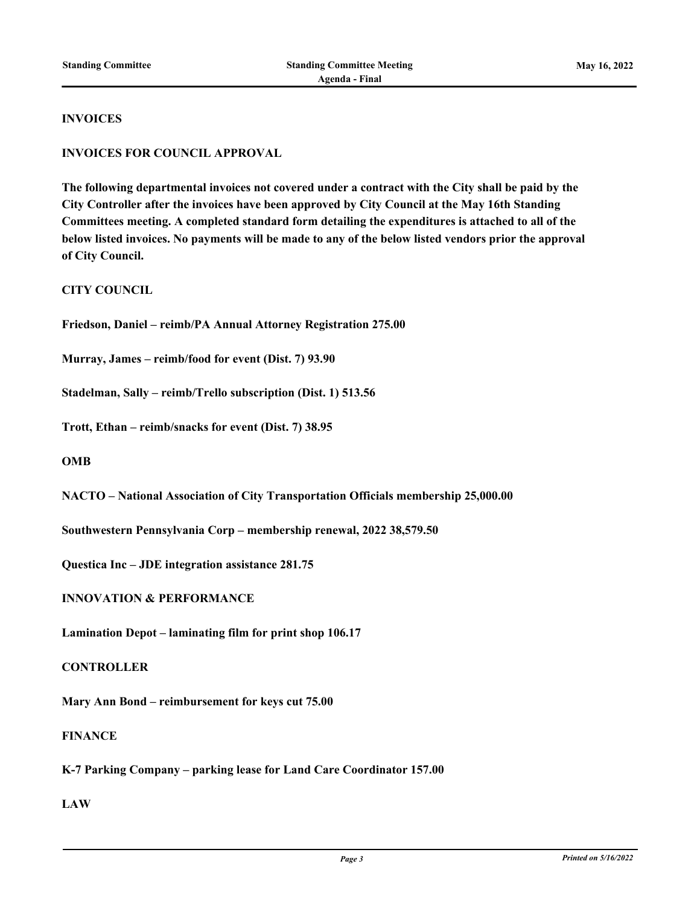#### **INVOICES**

#### **INVOICES FOR COUNCIL APPROVAL**

**The following departmental invoices not covered under a contract with the City shall be paid by the City Controller after the invoices have been approved by City Council at the May 16th Standing Committees meeting. A completed standard form detailing the expenditures is attached to all of the below listed invoices. No payments will be made to any of the below listed vendors prior the approval of City Council.**

**CITY COUNCIL**

**Friedson, Daniel – reimb/PA Annual Attorney Registration 275.00**

**Murray, James – reimb/food for event (Dist. 7) 93.90**

**Stadelman, Sally – reimb/Trello subscription (Dist. 1) 513.56**

**Trott, Ethan – reimb/snacks for event (Dist. 7) 38.95**

**OMB**

**NACTO – National Association of City Transportation Officials membership 25,000.00**

**Southwestern Pennsylvania Corp – membership renewal, 2022 38,579.50**

**Questica Inc – JDE integration assistance 281.75**

**INNOVATION & PERFORMANCE**

**Lamination Depot – laminating film for print shop 106.17**

**CONTROLLER**

**Mary Ann Bond – reimbursement for keys cut 75.00**

**FINANCE**

**K-7 Parking Company – parking lease for Land Care Coordinator 157.00**

**LAW**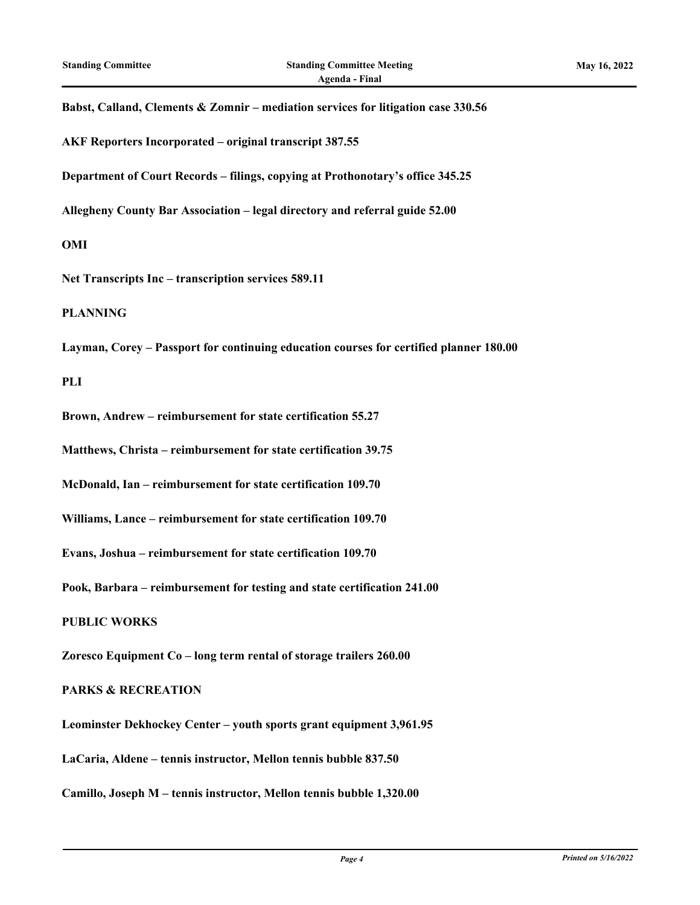# **Babst, Calland, Clements & Zomnir – mediation services for litigation case 330.56**

**AKF Reporters Incorporated – original transcript 387.55**

**Department of Court Records – filings, copying at Prothonotary's office 345.25**

**Allegheny County Bar Association – legal directory and referral guide 52.00**

**OMI**

**Net Transcripts Inc – transcription services 589.11**

**PLANNING**

**Layman, Corey – Passport for continuing education courses for certified planner 180.00**

**PLI**

**Brown, Andrew – reimbursement for state certification 55.27**

**Matthews, Christa – reimbursement for state certification 39.75**

**McDonald, Ian – reimbursement for state certification 109.70**

**Williams, Lance – reimbursement for state certification 109.70**

**Evans, Joshua – reimbursement for state certification 109.70**

**Pook, Barbara – reimbursement for testing and state certification 241.00**

**PUBLIC WORKS**

**Zoresco Equipment Co – long term rental of storage trailers 260.00**

#### **PARKS & RECREATION**

**Leominster Dekhockey Center – youth sports grant equipment 3,961.95**

**LaCaria, Aldene – tennis instructor, Mellon tennis bubble 837.50**

**Camillo, Joseph M – tennis instructor, Mellon tennis bubble 1,320.00**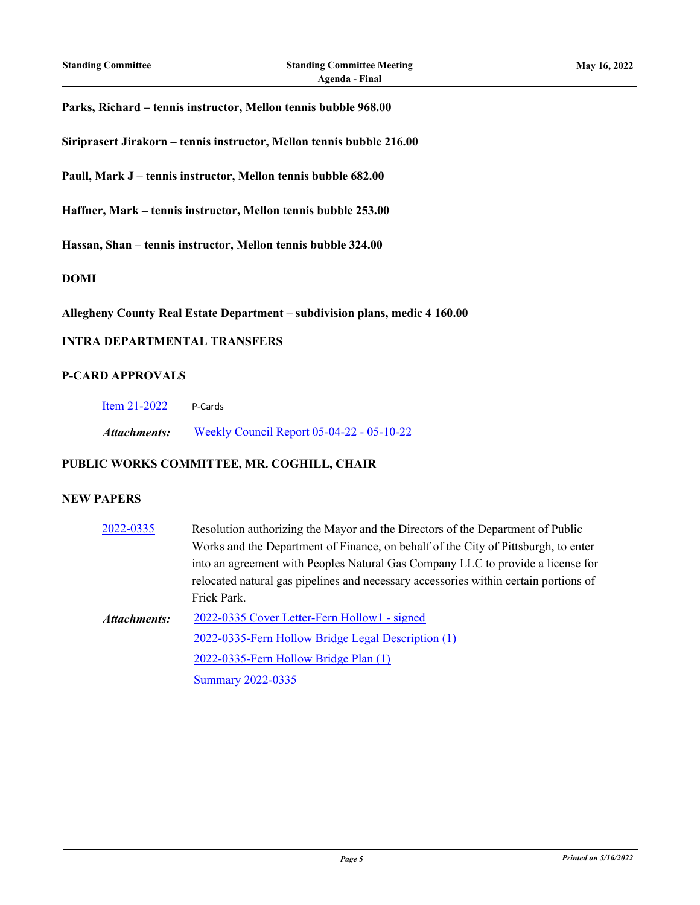#### **Parks, Richard – tennis instructor, Mellon tennis bubble 968.00**

**Siriprasert Jirakorn – tennis instructor, Mellon tennis bubble 216.00**

**Paull, Mark J – tennis instructor, Mellon tennis bubble 682.00**

**Haffner, Mark – tennis instructor, Mellon tennis bubble 253.00**

**Hassan, Shan – tennis instructor, Mellon tennis bubble 324.00**

#### **DOMI**

**Allegheny County Real Estate Department – subdivision plans, medic 4 160.00**

#### **INTRA DEPARTMENTAL TRANSFERS**

#### **P-CARD APPROVALS**

**[Item 21-2022](http://pittsburgh.legistar.com/gateway.aspx?m=l&id=/matter.aspx?key=27749)** P-Cards

*Attachments:* [Weekly Council Report 05-04-22 - 05-10-22](http://pittsburgh.legistar.com/gateway.aspx?M=F&ID=d69b6c90-e557-4d31-8f0d-7d6b06036b41.xlsx)

#### **PUBLIC WORKS COMMITTEE, MR. COGHILL, CHAIR**

#### **NEW PAPERS**

| 2022-0335           | Resolution authorizing the Mayor and the Directors of the Department of Public       |
|---------------------|--------------------------------------------------------------------------------------|
|                     | Works and the Department of Finance, on behalf of the City of Pittsburgh, to enter   |
|                     | into an agreement with Peoples Natural Gas Company LLC to provide a license for      |
|                     | relocated natural gas pipelines and necessary accessories within certain portions of |
|                     | Frick Park.                                                                          |
| <b>Attachments:</b> | 2022-0335 Cover Letter-Fern Hollow1 - signed                                         |
|                     | 2022-0335-Fern Hollow Bridge Legal Description (1)                                   |
|                     | 2022-0335-Fern Hollow Bridge Plan (1)                                                |
|                     | <b>Summary 2022-0335</b>                                                             |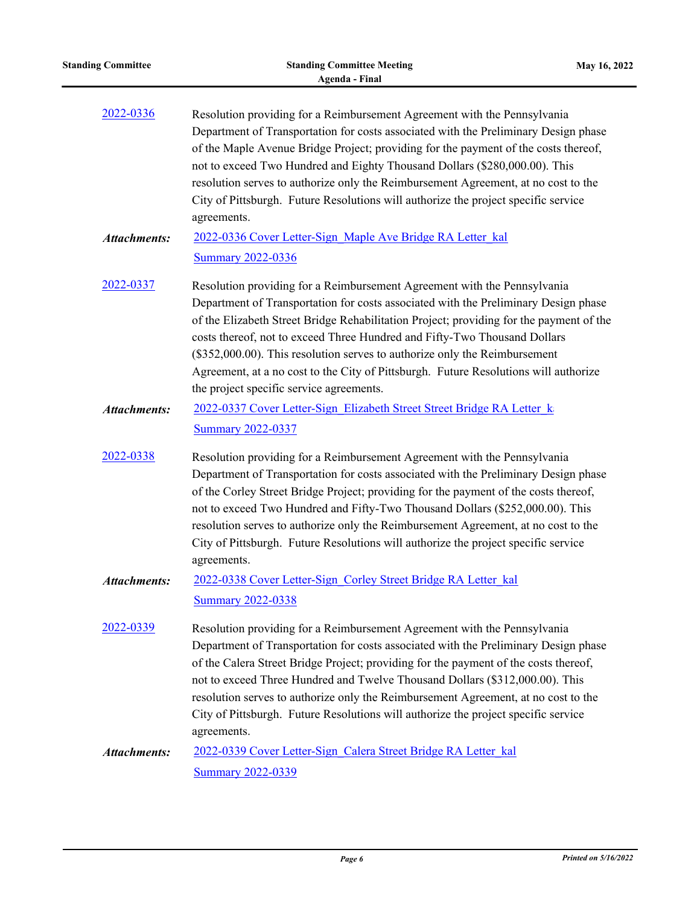| <b>Standing Committee</b> | <b>Standing Committee Meeting</b><br><b>Agenda - Final</b>                                                                                                                                                                                                                                                                                                                                                                                                                                                                                                | May 16, 2022 |
|---------------------------|-----------------------------------------------------------------------------------------------------------------------------------------------------------------------------------------------------------------------------------------------------------------------------------------------------------------------------------------------------------------------------------------------------------------------------------------------------------------------------------------------------------------------------------------------------------|--------------|
| 2022-0336                 | Resolution providing for a Reimbursement Agreement with the Pennsylvania<br>Department of Transportation for costs associated with the Preliminary Design phase<br>of the Maple Avenue Bridge Project; providing for the payment of the costs thereof,<br>not to exceed Two Hundred and Eighty Thousand Dollars (\$280,000.00). This<br>resolution serves to authorize only the Reimbursement Agreement, at no cost to the<br>City of Pittsburgh. Future Resolutions will authorize the project specific service<br>agreements.                           |              |
| <b>Attachments:</b>       | 2022-0336 Cover Letter-Sign Maple Ave Bridge RA Letter kal<br><b>Summary 2022-0336</b>                                                                                                                                                                                                                                                                                                                                                                                                                                                                    |              |
| 2022-0337                 | Resolution providing for a Reimbursement Agreement with the Pennsylvania<br>Department of Transportation for costs associated with the Preliminary Design phase<br>of the Elizabeth Street Bridge Rehabilitation Project; providing for the payment of the<br>costs thereof, not to exceed Three Hundred and Fifty-Two Thousand Dollars<br>(\$352,000.00). This resolution serves to authorize only the Reimbursement<br>Agreement, at a no cost to the City of Pittsburgh. Future Resolutions will authorize<br>the project specific service agreements. |              |
| <b>Attachments:</b>       | 2022-0337 Cover Letter-Sign Elizabeth Street Street Bridge RA Letter k<br><b>Summary 2022-0337</b>                                                                                                                                                                                                                                                                                                                                                                                                                                                        |              |
| 2022-0338                 | Resolution providing for a Reimbursement Agreement with the Pennsylvania<br>Department of Transportation for costs associated with the Preliminary Design phase<br>of the Corley Street Bridge Project; providing for the payment of the costs thereof,<br>not to exceed Two Hundred and Fifty-Two Thousand Dollars (\$252,000.00). This<br>resolution serves to authorize only the Reimbursement Agreement, at no cost to the<br>City of Pittsburgh. Future Resolutions will authorize the project specific service<br>agreements.                       |              |
| <b>Attachments:</b>       | 2022-0338 Cover Letter-Sign Corley Street Bridge RA Letter kal<br><b>Summary 2022-0338</b>                                                                                                                                                                                                                                                                                                                                                                                                                                                                |              |
| 2022-0339                 | Resolution providing for a Reimbursement Agreement with the Pennsylvania<br>Department of Transportation for costs associated with the Preliminary Design phase<br>of the Calera Street Bridge Project; providing for the payment of the costs thereof,<br>not to exceed Three Hundred and Twelve Thousand Dollars (\$312,000.00). This<br>resolution serves to authorize only the Reimbursement Agreement, at no cost to the<br>City of Pittsburgh. Future Resolutions will authorize the project specific service<br>agreements.                        |              |
| <b>Attachments:</b>       | 2022-0339 Cover Letter-Sign Calera Street Bridge RA Letter kal<br><b>Summary 2022-0339</b>                                                                                                                                                                                                                                                                                                                                                                                                                                                                |              |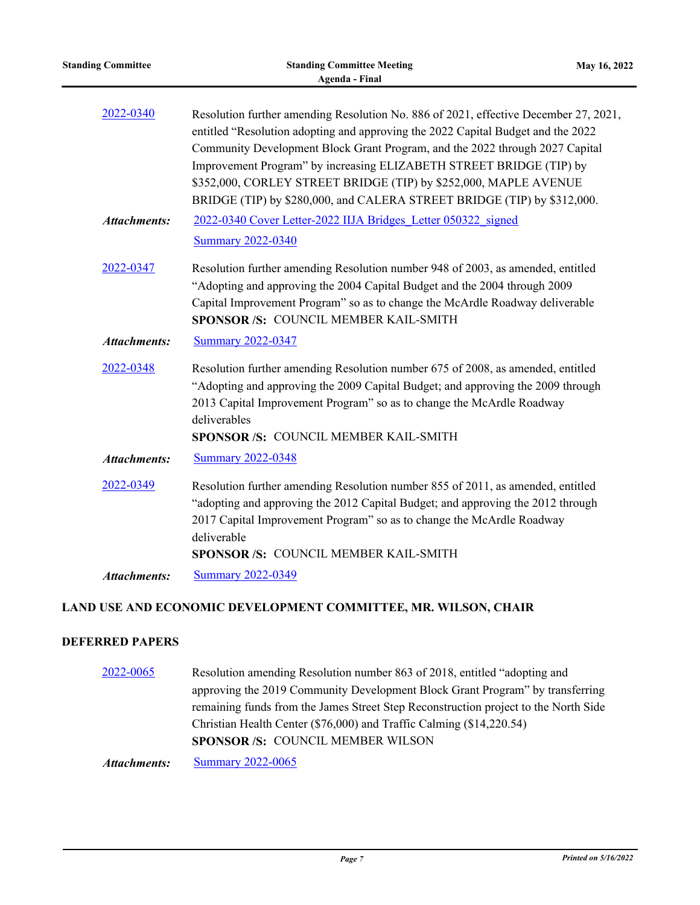| <b>Standing Committee</b> | <b>Standing Committee Meeting</b><br><b>Agenda - Final</b>                                                                                                                                                                                                                                                                                                                                                                                                                     | May 16, 2022 |
|---------------------------|--------------------------------------------------------------------------------------------------------------------------------------------------------------------------------------------------------------------------------------------------------------------------------------------------------------------------------------------------------------------------------------------------------------------------------------------------------------------------------|--------------|
| 2022-0340                 | Resolution further amending Resolution No. 886 of 2021, effective December 27, 2021,<br>entitled "Resolution adopting and approving the 2022 Capital Budget and the 2022<br>Community Development Block Grant Program, and the 2022 through 2027 Capital<br>Improvement Program" by increasing ELIZABETH STREET BRIDGE (TIP) by<br>\$352,000, CORLEY STREET BRIDGE (TIP) by \$252,000, MAPLE AVENUE<br>BRIDGE (TIP) by \$280,000, and CALERA STREET BRIDGE (TIP) by \$312,000. |              |
| <b>Attachments:</b>       | 2022-0340 Cover Letter-2022 IIJA Bridges Letter 050322 signed<br><b>Summary 2022-0340</b>                                                                                                                                                                                                                                                                                                                                                                                      |              |
| 2022-0347                 | Resolution further amending Resolution number 948 of 2003, as amended, entitled<br>"Adopting and approving the 2004 Capital Budget and the 2004 through 2009<br>Capital Improvement Program" so as to change the McArdle Roadway deliverable<br>SPONSOR /S: COUNCIL MEMBER KAIL-SMITH                                                                                                                                                                                          |              |
| <b>Attachments:</b>       | <b>Summary 2022-0347</b>                                                                                                                                                                                                                                                                                                                                                                                                                                                       |              |
| 2022-0348                 | Resolution further amending Resolution number 675 of 2008, as amended, entitled<br>"Adopting and approving the 2009 Capital Budget; and approving the 2009 through<br>2013 Capital Improvement Program" so as to change the McArdle Roadway<br>deliverables<br>SPONSOR /S: COUNCIL MEMBER KAIL-SMITH                                                                                                                                                                           |              |
| <b>Attachments:</b>       | <b>Summary 2022-0348</b>                                                                                                                                                                                                                                                                                                                                                                                                                                                       |              |
| 2022-0349                 | Resolution further amending Resolution number 855 of 2011, as amended, entitled<br>"adopting and approving the 2012 Capital Budget; and approving the 2012 through<br>2017 Capital Improvement Program" so as to change the McArdle Roadway<br>deliverable<br>SPONSOR /S: COUNCIL MEMBER KAIL-SMITH                                                                                                                                                                            |              |
| <b>Attachments:</b>       | <b>Summary 2022-0349</b>                                                                                                                                                                                                                                                                                                                                                                                                                                                       |              |
|                           | LAND USE AND ECONOMIC DEVELOPMENT COMMITTEE, MR. WILSON, CHAIR                                                                                                                                                                                                                                                                                                                                                                                                                 |              |

## **DEFERRED PAPERS**

[2022-0065](http://pittsburgh.legistar.com/gateway.aspx?m=l&id=/matter.aspx?key=27364) Resolution amending Resolution number 863 of 2018, entitled "adopting and approving the 2019 Community Development Block Grant Program" by transferring remaining funds from the James Street Step Reconstruction project to the North Side Christian Health Center (\$76,000) and Traffic Calming (\$14,220.54) **SPONSOR /S:** COUNCIL MEMBER WILSON

*Attachments:* [Summary 2022-0065](http://pittsburgh.legistar.com/gateway.aspx?M=F&ID=61f71b04-da01-4eef-9ab2-58035195a3f9.docx)